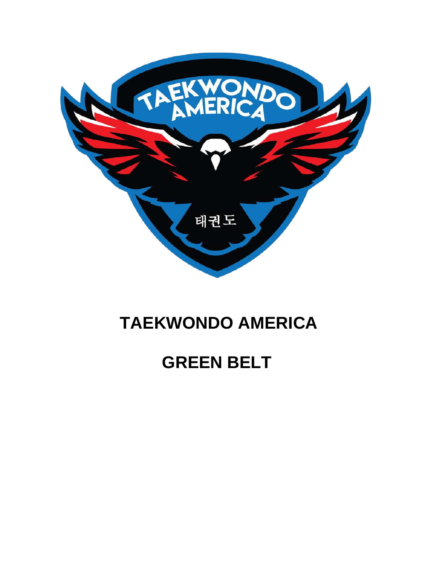

# **TAEKWONDO AMERICA**

# **GREEN BELT**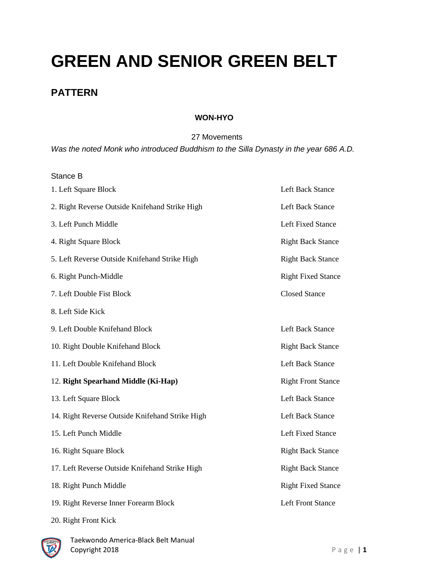# **GREEN AND SENIOR GREEN BELT**

## **PATTERN**

### **WON-HYO**

27 Movements

*Was the noted Monk who introduced Buddhism to the Silla Dynasty in the year 686 A.D.*

#### Stance B

| 1. Left Square Block                            | Left Back Stance          |
|-------------------------------------------------|---------------------------|
| 2. Right Reverse Outside Knifehand Strike High  | <b>Left Back Stance</b>   |
| 3. Left Punch Middle                            | <b>Left Fixed Stance</b>  |
| 4. Right Square Block                           | <b>Right Back Stance</b>  |
| 5. Left Reverse Outside Knifehand Strike High   | <b>Right Back Stance</b>  |
| 6. Right Punch-Middle                           | <b>Right Fixed Stance</b> |
| 7. Left Double Fist Block                       | <b>Closed Stance</b>      |
| 8. Left Side Kick                               |                           |
| 9. Left Double Knifehand Block                  | <b>Left Back Stance</b>   |
| 10. Right Double Knifehand Block                | <b>Right Back Stance</b>  |
| 11. Left Double Knifehand Block                 | <b>Left Back Stance</b>   |
| 12. Right Spearhand Middle (Ki-Hap)             | <b>Right Front Stance</b> |
| 13. Left Square Block                           | <b>Left Back Stance</b>   |
| 14. Right Reverse Outside Knifehand Strike High | <b>Left Back Stance</b>   |
| 15. Left Punch Middle                           | <b>Left Fixed Stance</b>  |
| 16. Right Square Block                          | <b>Right Back Stance</b>  |
| 17. Left Reverse Outside Knifehand Strike High  | <b>Right Back Stance</b>  |
| 18. Right Punch Middle                          | <b>Right Fixed Stance</b> |
| 19. Right Reverse Inner Forearm Block           | <b>Left Front Stance</b>  |

20. Right Front Kick

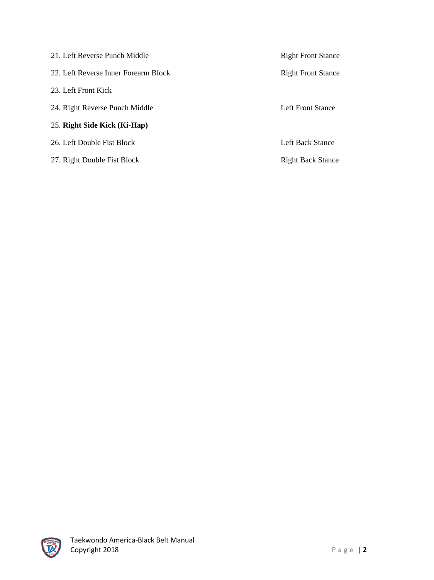| 21. Left Reverse Punch Middle        | <b>Right Front Stance</b> |
|--------------------------------------|---------------------------|
| 22. Left Reverse Inner Forearm Block | <b>Right Front Stance</b> |
| 23. Left Front Kick                  |                           |
| 24. Right Reverse Punch Middle       | Left Front Stance         |
| 25. Right Side Kick (Ki-Hap)         |                           |
| 26. Left Double Fist Block           | Left Back Stance          |
| 27. Right Double Fist Block          | <b>Right Back Stance</b>  |

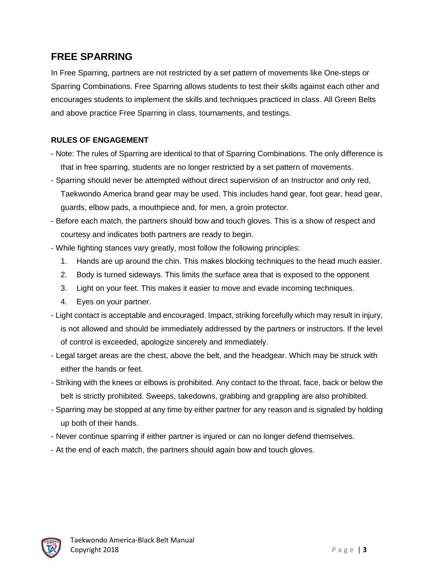## **FREE SPARRING**

In Free Sparring, partners are not restricted by a set pattern of movements like One-steps or Sparring Combinations. Free Sparring allows students to test their skills against each other and encourages students to implement the skills and techniques practiced in class. All Green Belts and above practice Free Sparring in class, tournaments, and testings.

### **RULES OF ENGAGEMENT**

- Note: The rules of Sparring are identical to that of Sparring Combinations. The only difference is that in free sparring, students are no longer restricted by a set pattern of movements.
- Sparring should never be attempted without direct supervision of an Instructor and only red, Taekwondo America brand gear may be used. This includes hand gear, foot gear, head gear, guards, elbow pads, a mouthpiece and, for men, a groin protector.
- Before each match, the partners should bow and touch gloves. This is a show of respect and courtesy and indicates both partners are ready to begin.
- While fighting stances vary greatly, most follow the following principles:
	- 1. Hands are up around the chin. This makes blocking techniques to the head much easier.
	- 2. Body is turned sideways. This limits the surface area that is exposed to the opponent
	- 3. Light on your feet. This makes it easier to move and evade incoming techniques.
	- 4. Eyes on your partner.
- Light contact is acceptable and encouraged. Impact, striking forcefully which may result in injury, is not allowed and should be immediately addressed by the partners or instructors. If the level of control is exceeded, apologize sincerely and immediately.
- Legal target areas are the chest, above the belt, and the headgear. Which may be struck with either the hands or feet.
- Striking with the knees or elbows is prohibited. Any contact to the throat, face, back or below the belt is strictly prohibited. Sweeps, takedowns, grabbing and grappling are also prohibited.
- Sparring may be stopped at any time by either partner for any reason and is signaled by holding up both of their hands.
- Never continue sparring if either partner is injured or can no longer defend themselves.
- At the end of each match, the partners should again bow and touch gloves.